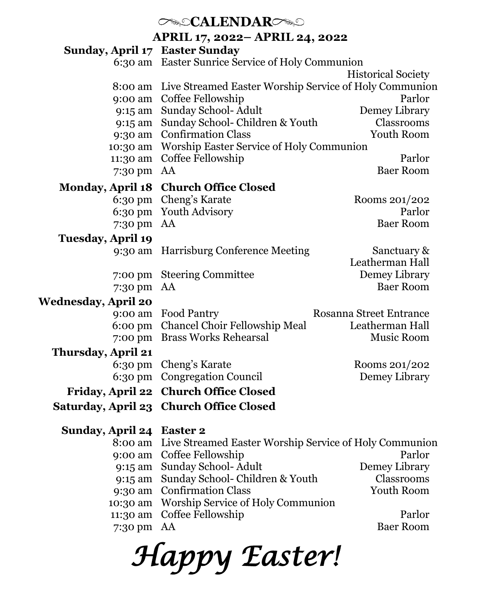# *CALENDARC*

**APRIL 17, 2022– APRIL 24, 2022**

| Sunday, April 17 Easter Sunday |                                                        |                                |  |
|--------------------------------|--------------------------------------------------------|--------------------------------|--|
|                                | 6:30 am Easter Sunrice Service of Holy Communion       |                                |  |
|                                |                                                        | <b>Historical Society</b>      |  |
| 8:00 am                        | Live Streamed Easter Worship Service of Holy Communion |                                |  |
| 9:00 am                        | Coffee Fellowship                                      | Parlor                         |  |
| 9:15 am                        | Sunday School- Adult                                   | Demey Library                  |  |
|                                | 9:15 am Sunday School- Children & Youth                | Classrooms                     |  |
|                                | 9:30 am Confirmation Class                             | Youth Room                     |  |
|                                | 10:30 am Worship Easter Service of Holy Communion      |                                |  |
| 11:30 am                       | Coffee Fellowship                                      | Parlor                         |  |
| 7:30 pm                        | AA                                                     | <b>Baer Room</b>               |  |
| <b>Monday, April 18</b>        | <b>Church Office Closed</b>                            |                                |  |
| $6:30 \text{ pm}$              | Cheng's Karate                                         | Rooms 201/202                  |  |
| 6:30 pm                        | Youth Advisory                                         | Parlor                         |  |
| 7:30 pm                        | AA                                                     | <b>Baer Room</b>               |  |
| Tuesday, April 19              |                                                        |                                |  |
| 9:30 am                        | Harrisburg Conference Meeting                          | Sanctuary &                    |  |
|                                |                                                        | Leatherman Hall                |  |
| 7:00 pm                        | <b>Steering Committee</b>                              | Demey Library                  |  |
| 7:30 pm                        | AA                                                     | <b>Baer Room</b>               |  |
| Wednesday, April 20            |                                                        |                                |  |
| 9:00 am                        | <b>Food Pantry</b>                                     | <b>Rosanna Street Entrance</b> |  |
| 6:00 pm                        | Chancel Choir Fellowship Meal                          | Leatherman Hall                |  |
| 7:00 pm                        | <b>Brass Works Rehearsal</b>                           | Music Room                     |  |
| Thursday, April 21             |                                                        |                                |  |
| 6:30 pm                        | Cheng's Karate                                         | Rooms 201/202                  |  |
| 6:30 pm                        | <b>Congregation Council</b>                            | Demey Library                  |  |
|                                |                                                        |                                |  |
| Friday, April 22               | <b>Church Office Closed</b>                            |                                |  |
| <b>Saturday, April 23</b>      | <b>Church Office Closed</b>                            |                                |  |
| Sunday, April 24               | <b>Easter 2</b>                                        |                                |  |
| 8:00 am                        | Live Streamed Easter Worship Service of Holy Communion |                                |  |
| 9:00 am                        | Coffee Fellowship                                      | Parlor                         |  |
| 9:15 am                        | Sunday School-Adult                                    | Demey Library                  |  |
| 9:15 am                        | Sunday School- Children & Youth                        | Classrooms                     |  |
| 9:30 am                        | <b>Confirmation Class</b>                              | Youth Room                     |  |
| 10:30 am                       | Worship Service of Holy Communion                      |                                |  |
| 11:30 am                       | Coffee Fellowship                                      | Parlor                         |  |
| 7:30 pm                        | AA                                                     | <b>Baer Room</b>               |  |
|                                |                                                        |                                |  |

*Happy Easter!*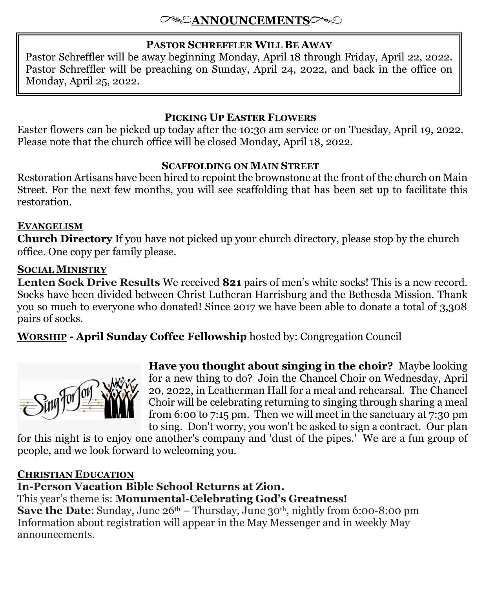## **PASTOR SCHREFFLER WILL BE AWAY**

Pastor Schreffler will be away beginning Monday, April 18 through Friday, April 22, 2022. Pastor Schreffler will be preaching on Sunday, April 24, 2022, and back in the office on Monday, April 25, 2022.

## **PICKING UP EASTER FLOWERS**

Easter flowers can be picked up today after the 10:30 am service or on Tuesday, April 19, 2022. Please note that the church office will be closed Monday, April 18, 2022.

### **SCAFFOLDING ON MAIN STREET**

Restoration Artisans have been hired to repoint the brownstone at the front of the church on Main Street. For the next few months, you will see scaffolding that has been set up to facilitate this restoration.

## **EVANGELISM**

**Church Directory** If you have not picked up your church directory, please stop by the church office. One copy per family please.

## **SOCIAL MINISTRY**

**Lenten Sock Drive Results** We received **821** pairs of men's white socks! This is a new record. Socks have been divided between Christ Lutheran Harrisburg and the Bethesda Mission. Thank you so much to everyone who donated! Since 2017 we have been able to donate a total of 3,308 pairs of socks.

**WORSHIP - April Sunday Coffee Fellowship** hosted by: Congregation Council



**Have you thought about singing in the choir?** Maybe looking for a new thing to do? Join the Chancel Choir on Wednesday, April 20, 2022, in Leatherman Hall for a meal and rehearsal. The Chancel Choir will be celebrating returning to singing through sharing a meal from 6:00 to 7:15 pm. Then we will meet in the sanctuary at 7:30 pm to sing. Don't worry, you won't be asked to sign a contract. Our plan

for this night is to enjoy one another's company and 'dust of the pipes.' We are a fun group of people, and we look forward to welcoming you.

#### **CHRISTIAN EDUCATION**

# **In-Person Vacation Bible School Returns at Zion.**

This year's theme is: **Monumental-Celebrating God's Greatness!**

**Save the Date**: Sunday, June 26<sup>th</sup> – Thursday, June 30<sup>th</sup>, nightly from 6:00-8:00 pm Information about registration will appear in the May Messenger and in weekly May announcements.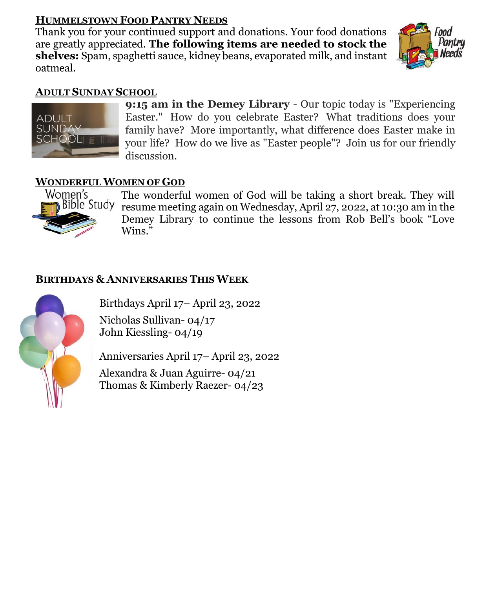# **HUMMELSTOWN FOOD PANTRY NEEDS**

Thank you for your continued support and donations. Your food donations are greatly appreciated. **The following items are needed to stock the shelves:** Spam, spaghetti sauce, kidney beans, evaporated milk, and instant oatmeal.



## **ADULT SUNDAY SCHOOL**



**9:15 am in the Demey Library** - Our topic today is "Experiencing Easter." How do you celebrate Easter? What traditions does your family have? More importantly, what difference does Easter make in your life? How do we live as "Easter people"? Join us for our friendly discussion.

## **WONDERFUL WOMEN OF GOD**



The wonderful women of God will be taking a short break. They will resume meeting again on Wednesday, April 27, 2022, at 10:30 am in the Demey Library to continue the lessons from Rob Bell's book "Love Wins."

## **BIRTHDAYS & ANNIVERSARIES THIS WEEK**

Birthdays April 17– April 23, 2022

Nicholas Sullivan- 04/17 John Kiessling- 04/19

Anniversaries April 17– April 23, 2022

Alexandra & Juan Aguirre- 04/21 Thomas & Kimberly Raezer- 04/23